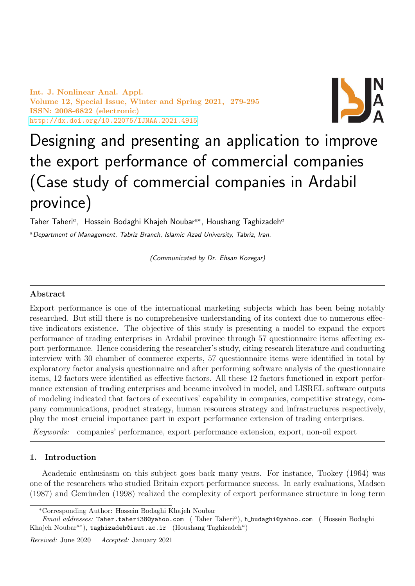Int. J. Nonlinear Anal. Appl. Volume 12, Special Issue, Winter and Spring 2021, 279-295 ISSN: 2008-6822 (electronic) <http://dx.doi.org/10.22075/IJNAA.2021.4915>



# Designing and presenting an application to improve the export performance of commercial companies (Case study of commercial companies in Ardabil province)

Taher Taheri<sup>a</sup>, Hossein Bodaghi Khajeh Noubar<sup>a\*</sup>, Houshang Taghizadeh<sup>a</sup> <sup>a</sup> Department of Management, Tabriz Branch, Islamic Azad University, Tabriz, Iran.

(Communicated by Dr. Ehsan Kozegar)

## Abstract

Export performance is one of the international marketing subjects which has been being notably researched. But still there is no comprehensive understanding of its context due to numerous effective indicators existence. The objective of this study is presenting a model to expand the export performance of trading enterprises in Ardabil province through 57 questionnaire items affecting export performance. Hence considering the researcher's study, citing research literature and conducting interview with 30 chamber of commerce experts, 57 questionnaire items were identified in total by exploratory factor analysis questionnaire and after performing software analysis of the questionnaire items, 12 factors were identified as effective factors. All these 12 factors functioned in export performance extension of trading enterprises and became involved in model, and LISREL software outputs of modeling indicated that factors of executives' capability in companies, competitive strategy, company communications, product strategy, human resources strategy and infrastructures respectively, play the most crucial importance part in export performance extension of trading enterprises.

Keywords: companies' performance, export performance extension, export, non-oil export

## 1. Introduction

Academic enthusiasm on this subject goes back many years. For instance, Tookey (1964) was one of the researchers who studied Britain export performance success. In early evaluations, Madsen  $(1987)$  and Gemünden  $(1998)$  realized the complexity of export performance structure in long term

<sup>∗</sup>Corresponding Author: Hossein Bodaghi Khajeh Noubar

Email addresses: Taher.taheri38@yahoo.com (Taher Taheri<sup>a</sup>), h\_budaghi@yahoo.com (Hossein Bodaghi Khajeh Noubar $a^*$ ), taghizadeh@iaut.ac.ir (Houshang Taghizadeh $a$ )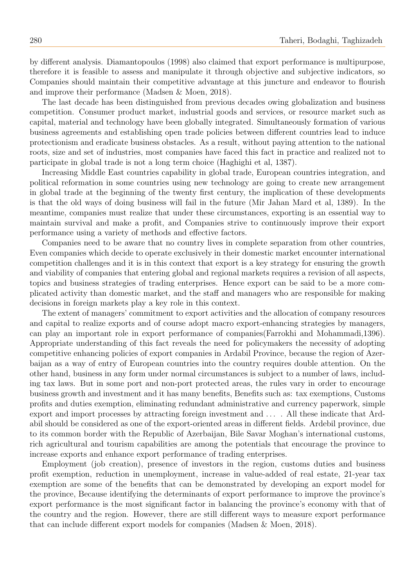by different analysis. Diamantopoulos (1998) also claimed that export performance is multipurpose, therefore it is feasible to assess and manipulate it through objective and subjective indicators, so Companies should maintain their competitive advantage at this juncture and endeavor to flourish and improve their performance (Madsen & Moen, 2018).

The last decade has been distinguished from previous decades owing globalization and business competition. Consumer product market, industrial goods and services, or resource market such as capital, material and technology have been globally integrated. Simultaneously formation of various business agreements and establishing open trade policies between different countries lead to induce protectionism and eradicate business obstacles. As a result, without paying attention to the national roots, size and set of industries, most companies have faced this fact in practice and realized not to participate in global trade is not a long term choice (Haghighi et al, 1387).

Increasing Middle East countries capability in global trade, European countries integration, and political reformation in some countries using new technology are going to create new arrangement in global trade at the beginning of the twenty first century, the implication of these developments is that the old ways of doing business will fail in the future (Mir Jahan Mard et al, 1389). In the meantime, companies must realize that under these circumstances, exporting is an essential way to maintain survival and make a profit, and Companies strive to continuously improve their export performance using a variety of methods and effective factors.

Companies need to be aware that no country lives in complete separation from other countries, Even companies which decide to operate exclusively in their domestic market encounter international competition challenges and it is in this context that export is a key strategy for ensuring the growth and viability of companies that entering global and regional markets requires a revision of all aspects, topics and business strategies of trading enterprises. Hence export can be said to be a more complicated activity than domestic market, and the staff and managers who are responsible for making decisions in foreign markets play a key role in this context.

The extent of managers' commitment to export activities and the allocation of company resources and capital to realize exports and of course adopt macro export-enhancing strategies by managers, can play an important role in export performance of companies(Farrokhi and Mohammadi,1396). Appropriate understanding of this fact reveals the need for policymakers the necessity of adopting competitive enhancing policies of export companies in Ardabil Province, because the region of Azerbaijan as a way of entry of European countries into the country requires double attention. On the other hand, business in any form under normal circumstances is subject to a number of laws, including tax laws. But in some port and non-port protected areas, the rules vary in order to encourage business growth and investment and it has many benefits, Benefits such as: tax exemptions, Customs profits and duties exemption, eliminating redundant administrative and currency paperwork, simple export and import processes by attracting foreign investment and . . . . All these indicate that Ardabil should be considered as one of the export-oriented areas in different fields. Ardebil province, due to its common border with the Republic of Azerbaijan, Bile Savar Moghan's international customs, rich agricultural and tourism capabilities are among the potentials that encourage the province to increase exports and enhance export performance of trading enterprises.

Employment (job creation), presence of investors in the region, customs duties and business profit exemption, reduction in unemployment, increase in value-added of real estate, 21-year tax exemption are some of the benefits that can be demonstrated by developing an export model for the province, Because identifying the determinants of export performance to improve the province's export performance is the most significant factor in balancing the province's economy with that of the country and the region. However, there are still different ways to measure export performance that can include different export models for companies (Madsen & Moen, 2018).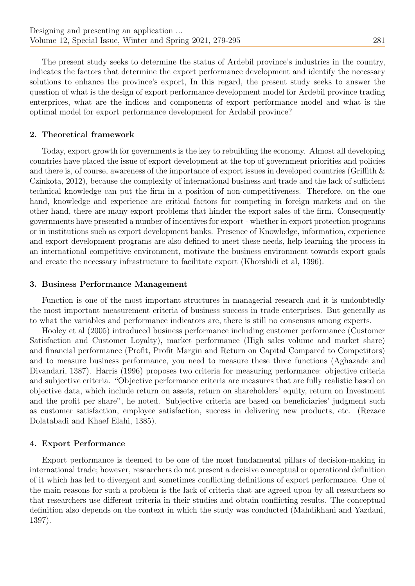The present study seeks to determine the status of Ardebil province's industries in the country, indicates the factors that determine the export performance development and identify the necessary solutions to enhance the province's export, In this regard, the present study seeks to answer the question of what is the design of export performance development model for Ardebil province trading enterprices, what are the indices and components of export performance model and what is the optimal model for export performance development for Ardabil province?

#### 2. Theoretical framework

Today, export growth for governments is the key to rebuilding the economy. Almost all developing countries have placed the issue of export development at the top of government priorities and policies and there is, of course, awareness of the importance of export issues in developed countries (Griffith & Czinkota, 2012), because the complexity of international business and trade and the lack of sufficient technical knowledge can put the firm in a position of non-competitiveness. Therefore, on the one hand, knowledge and experience are critical factors for competing in foreign markets and on the other hand, there are many export problems that hinder the export sales of the firm. Consequently governments have presented a number of incentives for export - whether in export protection programs or in institutions such as export development banks. Presence of Knowledge, information, experience and export development programs are also defined to meet these needs, help learning the process in an international competitive environment, motivate the business environment towards export goals and create the necessary infrastructure to facilitate export (Khorshidi et al, 1396).

#### 3. Business Performance Management

Function is one of the most important structures in managerial research and it is undoubtedly the most important measurement criteria of business success in trade enterprises. But generally as to what the variables and performance indicators are, there is still no consensus among experts.

Hooley et al (2005) introduced business performance including customer performance (Customer Satisfaction and Customer Loyalty), market performance (High sales volume and market share) and financial performance (Profit, Profit Margin and Return on Capital Compared to Competitors) and to measure business performance, you need to measure these three functions (Aghazade and Divandari, 1387). Harris (1996) proposes two criteria for measuring performance: objective criteria and subjective criteria. "Objective performance criteria are measures that are fully realistic based on objective data, which include return on assets, return on shareholders' equity, return on Investment and the profit per share", he noted. Subjective criteria are based on beneficiaries' judgment such as customer satisfaction, employee satisfaction, success in delivering new products, etc. (Rezaee Dolatabadi and Khaef Elahi, 1385).

#### 4. Export Performance

Export performance is deemed to be one of the most fundamental pillars of decision-making in international trade; however, researchers do not present a decisive conceptual or operational definition of it which has led to divergent and sometimes conflicting definitions of export performance. One of the main reasons for such a problem is the lack of criteria that are agreed upon by all researchers so that researchers use different criteria in their studies and obtain conflicting results. The conceptual definition also depends on the context in which the study was conducted (Mahdikhani and Yazdani, 1397).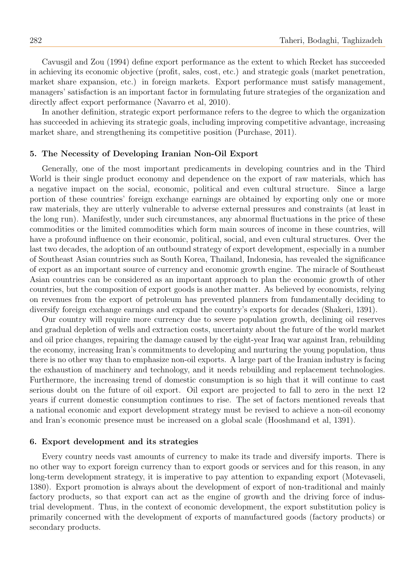Cavusgil and Zou (1994) define export performance as the extent to which Recket has succeeded in achieving its economic objective (profit, sales, cost, etc.) and strategic goals (market penetration, market share expansion, etc.) in foreign markets. Export performance must satisfy management, managers' satisfaction is an important factor in formulating future strategies of the organization and directly affect export performance (Navarro et al, 2010).

In another definition, strategic export performance refers to the degree to which the organization has succeeded in achieving its strategic goals, including improving competitive advantage, increasing market share, and strengthening its competitive position (Purchase, 2011).

#### 5. The Necessity of Developing Iranian Non-Oil Export

Generally, one of the most important predicaments in developing countries and in the Third World is their single product economy and dependence on the export of raw materials, which has a negative impact on the social, economic, political and even cultural structure. Since a large portion of these countries' foreign exchange earnings are obtained by exporting only one or more raw materials, they are utterly vulnerable to adverse external pressures and constraints (at least in the long run). Manifestly, under such circumstances, any abnormal fluctuations in the price of these commodities or the limited commodities which form main sources of income in these countries, will have a profound influence on their economic, political, social, and even cultural structures. Over the last two decades, the adoption of an outbound strategy of export development, especially in a number of Southeast Asian countries such as South Korea, Thailand, Indonesia, has revealed the significance of export as an important source of currency and economic growth engine. The miracle of Southeast Asian countries can be considered as an important approach to plan the economic growth of other countries, but the composition of export goods is another matter. As believed by economists, relying on revenues from the export of petroleum has prevented planners from fundamentally deciding to diversify foreign exchange earnings and expand the country's exports for decades (Shakeri, 1391).

Our country will require more currency due to severe population growth, declining oil reserves and gradual depletion of wells and extraction costs, uncertainty about the future of the world market and oil price changes, repairing the damage caused by the eight-year Iraq war against Iran, rebuilding the economy, increasing Iran's commitments to developing and nurturing the young population, thus there is no other way than to emphasize non-oil exports. A large part of the Iranian industry is facing the exhaustion of machinery and technology, and it needs rebuilding and replacement technologies. Furthermore, the increasing trend of domestic consumption is so high that it will continue to cast serious doubt on the future of oil export. Oil export are projected to fall to zero in the next 12 years if current domestic consumption continues to rise. The set of factors mentioned reveals that a national economic and export development strategy must be revised to achieve a non-oil economy and Iran's economic presence must be increased on a global scale (Hooshmand et al, 1391).

#### 6. Export development and its strategies

Every country needs vast amounts of currency to make its trade and diversify imports. There is no other way to export foreign currency than to export goods or services and for this reason, in any long-term development strategy, it is imperative to pay attention to expanding export (Motevaseli, 1380). Export promotion is always about the development of export of non-traditional and mainly factory products, so that export can act as the engine of growth and the driving force of industrial development. Thus, in the context of economic development, the export substitution policy is primarily concerned with the development of exports of manufactured goods (factory products) or secondary products.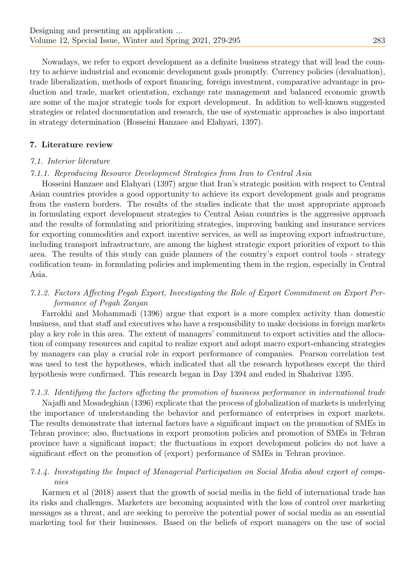Nowadays, we refer to export development as a definite business strategy that will lead the country to achieve industrial and economic development goals promptly. Currency policies (devaluation), trade liberalization, methods of export financing, foreign investment, comparative advantage in production and trade, market orientation, exchange rate management and balanced economic growth are some of the major strategic tools for export development. In addition to well-known suggested strategies or related documentation and research, the use of systematic approaches is also important in strategy determination (Hosseini Hanzaee and Elahyari, 1397).

# 7. Literature review

#### 7.1. Interior literature

#### 7.1.1. Reproducing Resource Development Strategies from Iran to Central Asia

Hosseini Hanzaee and Elahyari (1397) argue that Iran's strategic position with respect to Central Asian countries provides a good opportunity to achieve its export development goals and programs from the eastern borders. The results of the studies indicate that the most appropriate approach in formulating export development strategies to Central Asian countries is the aggressive approach and the results of formulating and prioritizing strategies, improving banking and insurance services for exporting commodities and export incentive services, as well as improving export infrastructure, including transport infrastructure, are among the highest strategic export priorities of export to this area. The results of this study can guide planners of the country's export control tools - strategy codification team- in formulating policies and implementing them in the region, especially in Central Asia.

# 7.1.2. Factors Affecting Pegah Export, Investigating the Role of Export Commitment on Export Performance of Pegah Zanjan

Farrokhi and Mohammadi (1396) argue that export is a more complex activity than domestic business, and that staff and executives who have a responsibility to make decisions in foreign markets play a key role in this area. The extent of managers' commitment to export activities and the allocation of company resources and capital to realize export and adopt macro export-enhancing strategies by managers can play a crucial role in export performance of companies. Pearson correlation test was used to test the hypotheses, which indicated that all the research hypotheses except the third hypothesis were confirmed. This research began in Day 1394 and ended in Shahrivar 1395.

## 7.1.3. Identifying the factors affecting the promotion of business performance in international trade

Najafli and Mosadeghian (1396) explicate that the process of globalization of markets is underlying the importance of understanding the behavior and performance of enterprises in export markets. The results demonstrate that internal factors have a significant impact on the promotion of SMEs in Tehran province; also, fluctuations in export promotion policies and promotion of SMEs in Tehran province have a significant impact; the fluctuations in export development policies do not have a significant effect on the promotion of (export) performance of SMEs in Tehran province.

# 7.1.4. Investigating the Impact of Managerial Participation on Social Media about export of companies

Karmen et al (2018) assert that the growth of social media in the field of international trade has its risks and challenges. Marketers are becoming acquainted with the loss of control over marketing messages as a threat, and are seeking to perceive the potential power of social media as an essential marketing tool for their businesses. Based on the beliefs of export managers on the use of social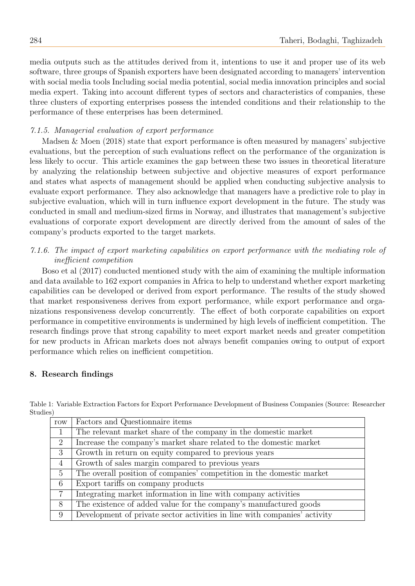media outputs such as the attitudes derived from it, intentions to use it and proper use of its web software, three groups of Spanish exporters have been designated according to managers' intervention with social media tools Including social media potential, social media innovation principles and social media expert. Taking into account different types of sectors and characteristics of companies, these three clusters of exporting enterprises possess the intended conditions and their relationship to the performance of these enterprises has been determined.

# 7.1.5. Managerial evaluation of export performance

Madsen & Moen (2018) state that export performance is often measured by managers' subjective evaluations, but the perception of such evaluations reflect on the performance of the organization is less likely to occur. This article examines the gap between these two issues in theoretical literature by analyzing the relationship between subjective and objective measures of export performance and states what aspects of management should be applied when conducting subjective analysis to evaluate export performance. They also acknowledge that managers have a predictive role to play in subjective evaluation, which will in turn influence export development in the future. The study was conducted in small and medium-sized firms in Norway, and illustrates that management's subjective evaluations of corporate export development are directly derived from the amount of sales of the company's products exported to the target markets.

# 7.1.6. The impact of export marketing capabilities on export performance with the mediating role of inefficient competition

Boso et al (2017) conducted mentioned study with the aim of examining the multiple information and data available to 162 export companies in Africa to help to understand whether export marketing capabilities can be developed or derived from export performance. The results of the study showed that market responsiveness derives from export performance, while export performance and organizations responsiveness develop concurrently. The effect of both corporate capabilities on export performance in competitive environments is undermined by high levels of inefficient competition. The research findings prove that strong capability to meet export market needs and greater competition for new products in African markets does not always benefit companies owing to output of export performance which relies on inefficient competition.

## 8. Research findings

Table 1: Variable Extraction Factors for Export Performance Development of Business Companies (Source: Researcher Studies)

| row            | Factors and Questionnaire items                                           |
|----------------|---------------------------------------------------------------------------|
| 1              | The relevant market share of the company in the domestic market           |
| $\overline{2}$ | Increase the company's market share related to the domestic market        |
| 3 <sup>1</sup> | Growth in return on equity compared to previous years                     |
| $\overline{4}$ | Growth of sales margin compared to previous years                         |
| $5^{\circ}$    | The overall position of companies' competition in the domestic market     |
| 6              | Export tariffs on company products                                        |
| $\overline{7}$ | Integrating market information in line with company activities            |
| 8              | The existence of added value for the company's manufactured goods         |
| 9              | Development of private sector activities in line with companies' activity |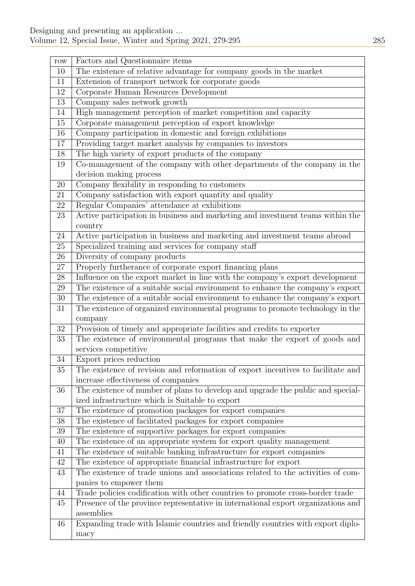$\overline{a}$ 

| $_{\rm row}$    | Factors and Questionnaire items                                                   |
|-----------------|-----------------------------------------------------------------------------------|
| 10              | The existence of relative advantage for company goods in the market               |
| 11              | Extension of transport network for corporate goods                                |
| 12              | Corporate Human Resources Development                                             |
| 13              | Company sales network growth                                                      |
| 14              | High management perception of market competition and capacity                     |
| 15              | Corporate management perception of export knowledge                               |
| 16              | Company participation in domestic and foreign exhibitions                         |
| 17              | Providing target market analysis by companies to investors                        |
| 18              | The high variety of export products of the company                                |
| 19              | Co-management of the company with other departments of the company in the         |
|                 | decision making process                                                           |
| 20              | Company flexibility in responding to customers                                    |
| 21              | Company satisfaction with export quantity and quality                             |
| 22              | Regular Companies' attendance at exhibitions                                      |
| 23              | Active participation in business and marketing and investment teams within the    |
|                 | country                                                                           |
| 24              | Active participation in business and marketing and investment teams abroad        |
| 25              | Specialized training and services for company staff                               |
| 26              | Diversity of company products                                                     |
| $27\,$          | Properly furtherance of corporate export financing plans                          |
| $28\,$          | Influence on the export market in line with the company's export development      |
| 29              | The existence of a suitable social environment to enhance the company's export    |
| $30\,$          | The existence of a suitable social environment to enhance the company's export    |
| 31              | The existence of organized environmental programs to promote technology in the    |
|                 | company                                                                           |
| 32              | Provision of timely and appropriate facilities and credits to exporter            |
| 33              | The existence of environmental programs that make the export of goods and         |
|                 | services competitive                                                              |
| 34              | Export prices reduction                                                           |
| $3\overline{5}$ | The existence of revision and reformation of export incentives to facilitate and  |
|                 | increase effectiveness of companies                                               |
| 36              | The existence of number of plans to develop and upgrade the public and special-   |
|                 | ized infrastructure which is Suitable to export                                   |
| 37              | The existence of promotion packages for export companies                          |
| 38              | The existence of facilitated packages for export companies                        |
| 39              | The existence of supportive packages for export companies                         |
| 40              | The existence of an appropriate system for export quality management              |
| 41              | The existence of suitable banking infrastructure for export companies             |
| 42              | The existence of appropriate financial infrastructure for export                  |
| 43              | The existence of trade unions and associations related to the activities of com-  |
|                 | panies to empower them                                                            |
| 44              | Trade policies codification with other countries to promote cross-border trade    |
| 45              | Presence of the province representative in international export organizations and |
|                 | assemblies                                                                        |
| 46              | Expanding trade with Islamic countries and friendly countries with export diplo-  |
|                 | macy                                                                              |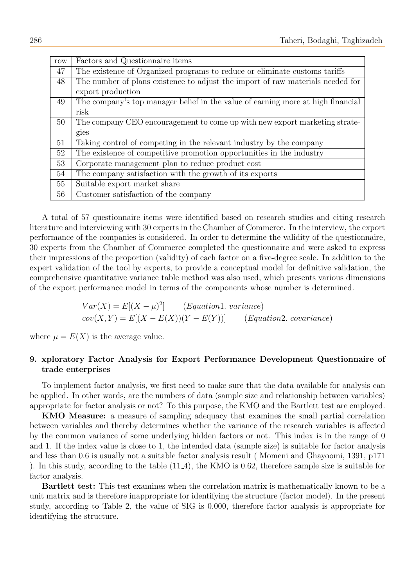| row | Factors and Questionnaire items                                                 |
|-----|---------------------------------------------------------------------------------|
| 47  | The existence of Organized programs to reduce or eliminate customs tariffs      |
| 48  | The number of plans existence to adjust the import of raw materials needed for  |
|     | export production                                                               |
| 49  | The company's top manager belief in the value of earning more at high financial |
|     | risk                                                                            |
| 50  | The company CEO encouragement to come up with new export marketing strate-      |
|     | gies                                                                            |
| 51  | Taking control of competing in the relevant industry by the company             |
| 52  | The existence of competitive promotion opportunities in the industry            |
| 53  | Corporate management plan to reduce product cost                                |
| 54  | The company satisfaction with the growth of its exports                         |
| 55  | Suitable export market share                                                    |
| 56  | Customer satisfaction of the company                                            |

A total of 57 questionnaire items were identified based on research studies and citing research literature and interviewing with 30 experts in the Chamber of Commerce. In the interview, the export performance of the companies is considered. In order to determine the validity of the questionnaire, 30 experts from the Chamber of Commerce completed the questionnaire and were asked to express their impressions of the proportion (validity) of each factor on a five-degree scale. In addition to the expert validation of the tool by experts, to provide a conceptual model for definitive validation, the comprehensive quantitative variance table method was also used, which presents various dimensions of the export performance model in terms of the components whose number is determined.

$$
Var(X) = E[(X - \mu)^2]
$$
 (*Equation1. variance*)  
cov(X, Y) = E[(X - E(X))(Y - E(Y))] (*Equation2. covariance*)

where  $\mu = E(X)$  is the average value.

# 9. xploratory Factor Analysis for Export Performance Development Questionnaire of trade enterprises

To implement factor analysis, we first need to make sure that the data available for analysis can be applied. In other words, are the numbers of data (sample size and relationship between variables) appropriate for factor analysis or not? To this purpose, the KMO and the Bartlett test are employed.

KMO Measure: a measure of sampling adequacy that examines the small partial correlation between variables and thereby determines whether the variance of the research variables is affected by the common variance of some underlying hidden factors or not. This index is in the range of 0 and 1. If the index value is close to 1, the intended data (sample size) is suitable for factor analysis and less than 0.6 is usually not a suitable factor analysis result ( Momeni and Ghayoomi, 1391, p171 ). In this study, according to the table (11 4), the KMO is 0.62, therefore sample size is suitable for factor analysis.

Bartlett test: This test examines when the correlation matrix is mathematically known to be a unit matrix and is therefore inappropriate for identifying the structure (factor model). In the present study, according to Table 2, the value of SIG is 0.000, therefore factor analysis is appropriate for identifying the structure.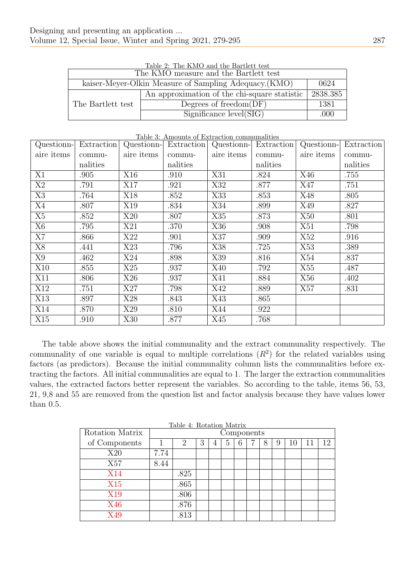| Table 2: The KMO and the Bartlett test<br>The KMO measure and the Bartlett test |                                                                |          |  |  |  |
|---------------------------------------------------------------------------------|----------------------------------------------------------------|----------|--|--|--|
|                                                                                 | kaiser-Meyer-Olkin Measure of Sampling Adequacy. (KMO)<br>0624 |          |  |  |  |
|                                                                                 | An approximation of the chi-square statistic                   | 2838.385 |  |  |  |
| The Bartlett test                                                               | Degrees of freedom $(DF)$                                      | 1381     |  |  |  |
|                                                                                 | Significance level(SIG)                                        | .000     |  |  |  |

|  | Table 2: The KMO and the Bartlett test |  |  |  |  |  |  |
|--|----------------------------------------|--|--|--|--|--|--|
|--|----------------------------------------|--|--|--|--|--|--|

#### Table 3: Amounts of Extraction communalities

|                | Questionn- Extraction | Questionn- | Extraction |            | Questionn- Extraction | Questionn- | Extraction |
|----------------|-----------------------|------------|------------|------------|-----------------------|------------|------------|
| aire items     | commu-                | aire items | commu-     | aire items | commu-                | aire items | commu-     |
|                | nalities              |            | nalities   |            | nalities              |            | nalities   |
| X1             | .905                  | X16        | .910       | X31        | .824                  | X46        | .755       |
| $\mathbf{X}2$  | .791                  | X17        | .921       | X32        | .877                  | X47        | .751       |
| X3             | .764                  | X18        | .852       | X33        | .853                  | X48        | .805       |
| X4             | .807                  | X19        | .834       | X34        | .899                  | X49        | .827       |
| X5             | .852                  | X20        | .807       | X35        | .873                  | X50        | .801       |
| X <sub>6</sub> | .795                  | X21        | .370       | X36        | .908                  | X51        | .798       |
| X7             | .866                  | X22        | .901       | X37        | .909                  | X52        | .916       |
| X8             | .441                  | X23        | .796       | X38        | .725                  | X53        | .389       |
| X9             | .462                  | X24        | .898       | X39        | .816                  | X54        | .837       |
| X10            | .855                  | X25        | .937       | X40        | .792                  | X55        | .487       |
| X11            | .806                  | X26        | .937       | X41        | .884                  | X56        | .402       |
| X12            | .751                  | X27        | .798       | X42        | .889                  | X57        | .831       |
| X13            | .897                  | X28        | .843       | X43        | .865                  |            |            |
| X14            | .870                  | X29        | .810       | X44        | .922                  |            |            |
| X15            | .910                  | X30        | .877       | X45        | .768                  |            |            |

The table above shows the initial communality and the extract communality respectively. The communality of one variable is equal to multiple correlations  $(R^2)$  for the related variables using factors (as predictors). Because the initial communality column lists the communalities before extracting the factors. All initial communalities are equal to 1. The larger the extraction communalities values, the extracted factors better represent the variables. So according to the table, items 56, 53, 21, 9,8 and 55 are removed from the question list and factor analysis because they have values lower than 0.5.

| Rotation Matrix |      | Components |   |   |   |  |   |   |    |    |
|-----------------|------|------------|---|---|---|--|---|---|----|----|
| of Components   |      | 2          | 3 | 4 | 5 |  | 8 | 9 | 10 | 12 |
| X20             | 7.74 |            |   |   |   |  |   |   |    |    |
| X57             | 8.44 |            |   |   |   |  |   |   |    |    |
| <b>X14</b>      |      | .825       |   |   |   |  |   |   |    |    |
| X15             |      | .865       |   |   |   |  |   |   |    |    |
| X19             |      | .806       |   |   |   |  |   |   |    |    |
| X46             |      | .876       |   |   |   |  |   |   |    |    |
| X49             |      | .813       |   |   |   |  |   |   |    |    |

Table 4: Rotation Matrix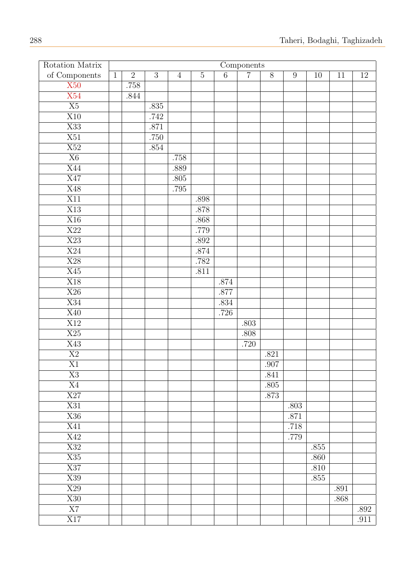| Rotation Matrix  | Components   |                |                |                |          |                |                |                |                  |          |      |        |
|------------------|--------------|----------------|----------------|----------------|----------|----------------|----------------|----------------|------------------|----------|------|--------|
| of Components    | $\mathbf{1}$ | $\overline{2}$ | $\overline{3}$ | $\overline{4}$ | $5\,$    | $\overline{6}$ | $\overline{7}$ | $\overline{8}$ | $\boldsymbol{9}$ | 10       | 11   | $12\,$ |
| $\overline{X50}$ |              | .758           |                |                |          |                |                |                |                  |          |      |        |
| X54              |              | .844           |                |                |          |                |                |                |                  |          |      |        |
| $\overline{X5}$  |              |                | .835           |                |          |                |                |                |                  |          |      |        |
| $\overline{X10}$ |              |                | .742           |                |          |                |                |                |                  |          |      |        |
| $\overline{X33}$ |              |                | $.871\,$       |                |          |                |                |                |                  |          |      |        |
| $\overline{X51}$ |              |                | .750           |                |          |                |                |                |                  |          |      |        |
| X52              |              |                | $.854\,$       |                |          |                |                |                |                  |          |      |        |
| $\overline{X6}$  |              |                |                | .758           |          |                |                |                |                  |          |      |        |
| X44              |              |                |                | .889           |          |                |                |                |                  |          |      |        |
| $\overline{X47}$ |              |                |                | $.805\,$       |          |                |                |                |                  |          |      |        |
| X48              |              |                |                | .795           |          |                |                |                |                  |          |      |        |
| $\overline{X11}$ |              |                |                |                | .898     |                |                |                |                  |          |      |        |
| $\overline{X13}$ |              |                |                |                | .878     |                |                |                |                  |          |      |        |
| X16              |              |                |                |                | .868     |                |                |                |                  |          |      |        |
| $\overline{X22}$ |              |                |                |                | $.779\,$ |                |                |                |                  |          |      |        |
| X23              |              |                |                |                | .892     |                |                |                |                  |          |      |        |
| $\overline{X24}$ |              |                |                |                | $.874\,$ |                |                |                |                  |          |      |        |
| $\overline{X28}$ |              |                |                |                | .782     |                |                |                |                  |          |      |        |
| X45              |              |                |                |                | .811     |                |                |                |                  |          |      |        |
| $\overline{X18}$ |              |                |                |                |          | $.874\,$       |                |                |                  |          |      |        |
| $\overline{X26}$ |              |                |                |                |          | .877           |                |                |                  |          |      |        |
| $\overline{X34}$ |              |                |                |                |          | $.834\,$       |                |                |                  |          |      |        |
| $\overline{X40}$ |              |                |                |                |          | .726           |                |                |                  |          |      |        |
| X12              |              |                |                |                |          |                | $.803\,$       |                |                  |          |      |        |
| $\overline{X25}$ |              |                |                |                |          |                | .808           |                |                  |          |      |        |
| X43              |              |                |                |                |          |                | .720           |                |                  |          |      |        |
| $\overline{X2}$  |              |                |                |                |          |                |                | .821           |                  |          |      |        |
| $\overline{X1}$  |              |                |                |                |          |                |                | .907           |                  |          |      |        |
| $\rm X3$         |              |                |                |                |          |                |                | .841           |                  |          |      |        |
| X4               |              |                |                |                |          |                |                | .805           |                  |          |      |        |
| $\overline{X27}$ |              |                |                |                |          |                |                | .873           |                  |          |      |        |
| X31              |              |                |                |                |          |                |                |                | .803             |          |      |        |
| $\overline{X36}$ |              |                |                |                |          |                |                |                | .871             |          |      |        |
| X41              |              |                |                |                |          |                |                |                | .718             |          |      |        |
| X42              |              |                |                |                |          |                |                |                | .779             |          |      |        |
| X32              |              |                |                |                |          |                |                |                |                  | .855     |      |        |
| $\overline{X35}$ |              |                |                |                |          |                |                |                |                  | .860     |      |        |
| X37              |              |                |                |                |          |                |                |                |                  | .810     |      |        |
| X39              |              |                |                |                |          |                |                |                |                  | $.855\,$ |      |        |
| X29              |              |                |                |                |          |                |                |                |                  |          | .891 |        |
| $\overline{X30}$ |              |                |                |                |          |                |                |                |                  |          | .868 |        |
| $\overline{X7}$  |              |                |                |                |          |                |                |                |                  |          |      | .892   |
| $\overline{X17}$ |              |                |                |                |          |                |                |                |                  |          |      | .911   |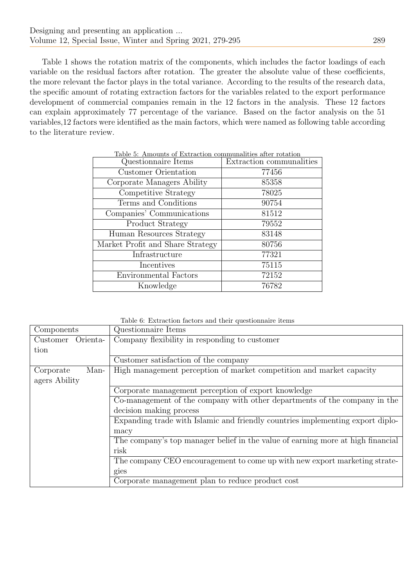Table 1 shows the rotation matrix of the components, which includes the factor loadings of each variable on the residual factors after rotation. The greater the absolute value of these coefficients, the more relevant the factor plays in the total variance. According to the results of the research data, the specific amount of rotating extraction factors for the variables related to the export performance development of commercial companies remain in the 12 factors in the analysis. These 12 factors can explain approximately 77 percentage of the variance. Based on the factor analysis on the 51 variables,12 factors were identified as the main factors, which were named as following table according to the literature review.

| Table 5: Amounts of Extraction communalities after rotation |                          |
|-------------------------------------------------------------|--------------------------|
| Questionnaire Items                                         | Extraction communalities |
| Customer Orientation                                        | 77456                    |
| Corporate Managers Ability                                  | 85358                    |
| Competitive Strategy                                        | 78025                    |
| Terms and Conditions                                        | 90754                    |
| Companies' Communications                                   | 81512                    |
| Product Strategy                                            | 79552                    |
| Human Resources Strategy                                    | 83148                    |
| Market Profit and Share Strategy                            | 80756                    |
| Infrastructure                                              | 77321                    |
| Incentives                                                  | 75115                    |
| <b>Environmental Factors</b>                                | 72152                    |
| Knowledge                                                   | 76782                    |

Table 6: Extraction factors and their questionnaire items

| Components           | Questionnaire Items                                                             |
|----------------------|---------------------------------------------------------------------------------|
| Customer<br>Orienta- | Company flexibility in responding to customer                                   |
| tion                 |                                                                                 |
|                      | Customer satisfaction of the company                                            |
| Man-<br>Corporate    | High management perception of market competition and market capacity            |
| agers Ability        |                                                                                 |
|                      | Corporate management perception of export knowledge                             |
|                      | Co-management of the company with other departments of the company in the       |
|                      | decision making process                                                         |
|                      | Expanding trade with Islamic and friendly countries implementing export diplo-  |
|                      | macy                                                                            |
|                      | The company's top manager belief in the value of earning more at high financial |
|                      | risk                                                                            |
|                      | The company CEO encouragement to come up with new export marketing strate-      |
|                      | gies                                                                            |
|                      | Corporate management plan to reduce product cost                                |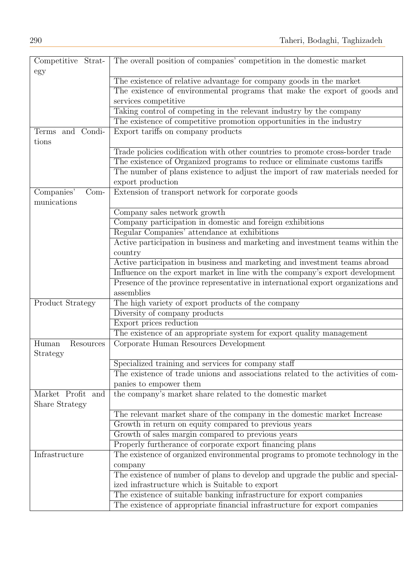| Competitive Strat-    | The overall position of companies' competition in the domestic market                           |
|-----------------------|-------------------------------------------------------------------------------------------------|
| egy                   |                                                                                                 |
|                       | The existence of relative advantage for company goods in the market                             |
|                       | The existence of environmental programs that make the export of goods and                       |
|                       | services competitive                                                                            |
|                       | Taking control of competing in the relevant industry by the company                             |
|                       | The existence of competitive promotion opportunities in the industry                            |
| Terms and Condi-      | Export tariffs on company products                                                              |
| tions                 |                                                                                                 |
|                       | Trade policies codification with other countries to promote cross-border trade                  |
|                       | The existence of Organized programs to reduce or eliminate customs tariffs                      |
|                       | The number of plans existence to adjust the import of raw materials needed for                  |
|                       | export production                                                                               |
| Companies'<br>$Com-$  | Extension of transport network for corporate goods                                              |
| munications           |                                                                                                 |
|                       | Company sales network growth                                                                    |
|                       | Company participation in domestic and foreign exhibitions                                       |
|                       | Regular Companies' attendance at exhibitions                                                    |
|                       | Active participation in business and marketing and investment teams within the                  |
|                       | country                                                                                         |
|                       | Active participation in business and marketing and investment teams abroad                      |
|                       | Influence on the export market in line with the company's export development                    |
|                       | Presence of the province representative in international export organizations and<br>assemblies |
|                       | The high variety of export products of the company                                              |
| Product Strategy      | Diversity of company products                                                                   |
|                       | Export prices reduction                                                                         |
|                       | The existence of an appropriate system for export quality management                            |
| Human<br>Resources    | Corporate Human Resources Development                                                           |
| Strategy              |                                                                                                 |
|                       | Specialized training and services for company staff                                             |
|                       | The existence of trade unions and associations related to the activities of com-                |
|                       | panies to empower them                                                                          |
| Market Profit and     | the company's market share related to the domestic market                                       |
| <b>Share Strategy</b> |                                                                                                 |
|                       | The relevant market share of the company in the domestic market Increase                        |
|                       | Growth in return on equity compared to previous years                                           |
|                       | Growth of sales margin compared to previous years                                               |
|                       | Properly furtherance of corporate export financing plans                                        |
| Infrastructure        | The existence of organized environmental programs to promote technology in the                  |
|                       | company                                                                                         |
|                       | The existence of number of plans to develop and upgrade the public and special-                 |
|                       | ized infrastructure which is Suitable to export                                                 |
|                       | The existence of suitable banking infrastructure for export companies                           |
|                       | The existence of appropriate financial infrastructure for export companies                      |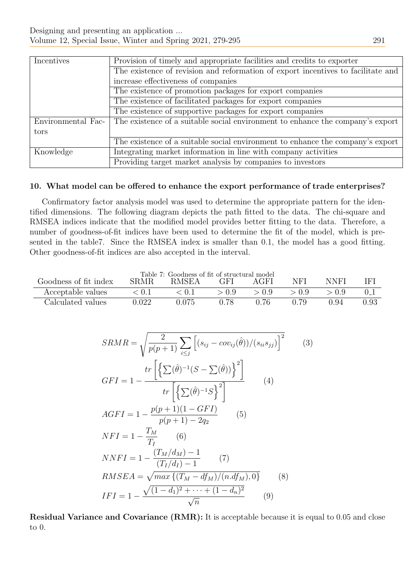| Incentives         | Provision of timely and appropriate facilities and credits to exporter           |  |  |  |  |  |  |
|--------------------|----------------------------------------------------------------------------------|--|--|--|--|--|--|
|                    | The existence of revision and reformation of export incentives to facilitate and |  |  |  |  |  |  |
|                    | increase effectiveness of companies                                              |  |  |  |  |  |  |
|                    | The existence of promotion packages for export companies                         |  |  |  |  |  |  |
|                    | The existence of facilitated packages for export companies                       |  |  |  |  |  |  |
|                    | The existence of supportive packages for export companies                        |  |  |  |  |  |  |
| Environmental Fac- | The existence of a suitable social environment to enhance the company's export   |  |  |  |  |  |  |
| tors               |                                                                                  |  |  |  |  |  |  |
|                    | The existence of a suitable social environment to enhance the company's export   |  |  |  |  |  |  |
| Knowledge          | Integrating market information in line with company activities                   |  |  |  |  |  |  |
|                    | Providing target market analysis by companies to investors                       |  |  |  |  |  |  |

## 10. What model can be offered to enhance the export performance of trade enterprises?

Confirmatory factor analysis model was used to determine the appropriate pattern for the identified dimensions. The following diagram depicts the path fitted to the data. The chi-square and RMSEA indices indicate that the modified model provides better fitting to the data. Therefore, a number of goodness-of-fit indices have been used to determine the fit of the model, which is presented in the table7. Since the RMSEA index is smaller than 0.1, the model has a good fitting. Other goodness-of-fit indices are also accepted in the interval.

| Table 7: Goodness of fit of structural model                                                                                 |             |              |       |       |       |       |          |
|------------------------------------------------------------------------------------------------------------------------------|-------------|--------------|-------|-------|-------|-------|----------|
| Goodness of fit index                                                                                                        | <b>SRMR</b> | <b>RMSEA</b> | GFI   | AGFI  | NFI   | NNFI  | IFI      |
| Acceptable values                                                                                                            | < 0.1       | < 0.1        | > 0.9 | > 0.9 | > 0.9 | > 0.9 | $0_{-1}$ |
| Calculated values                                                                                                            | 0.022       | 0.075        | 0.78  | 0.76  | 0.79  | 0.94  | 0.93     |
|                                                                                                                              |             |              |       |       |       |       |          |
|                                                                                                                              |             |              |       |       |       |       |          |
|                                                                                                                              |             |              |       |       |       |       |          |
| $\frac{2}{\sqrt{-(s_{ij}-1)}}\sum_{j} \left[ (s_{ij}-cov_{ij}(\hat{\theta}))/ (s_{ii}s_{jj}) \right]^2$<br>$SRMR = \sqrt{3}$ |             |              |       |       |       |       |          |

$$
SRMR = \sqrt{\frac{2}{p(p+1)} \sum_{i \le j} \left[ (s_{ij} - cov_{ij}(\hat{\theta})) / (s_{ii} s_{jj}) \right]^2}
$$
  
\n
$$
GFI = 1 - \frac{tr \left[ \left\{ \sum (\hat{\theta})^{-1} (S - \sum (\hat{\theta})) \right\}^2 \right]}{tr \left[ \left\{ \sum (\hat{\theta})^{-1} S \right\}^2 \right]} \qquad (4)
$$
  
\n
$$
AGFI = 1 - \frac{p(p+1)(1 - GFI)}{p(p+1) - 2q_2} \qquad (5)
$$
  
\n
$$
NFI = 1 - \frac{T_M}{T_I} \qquad (6)
$$
  
\n
$$
NNFI = 1 - \frac{(T_M/d_M) - 1}{(T_I/d_I) - 1} \qquad (7)
$$
  
\n
$$
RMSEA = \sqrt{max \{ (T_M - df_M) / (n.df_M), 0 \}} \qquad (8)
$$
  
\n
$$
IFI = 1 - \frac{\sqrt{(1 - d_1)^2 + \dots + (1 - d_n)^2}}{\sqrt{n}} \qquad (9)
$$

Residual Variance and Covariance (RMR): It is acceptable because it is equal to 0.05 and close to 0.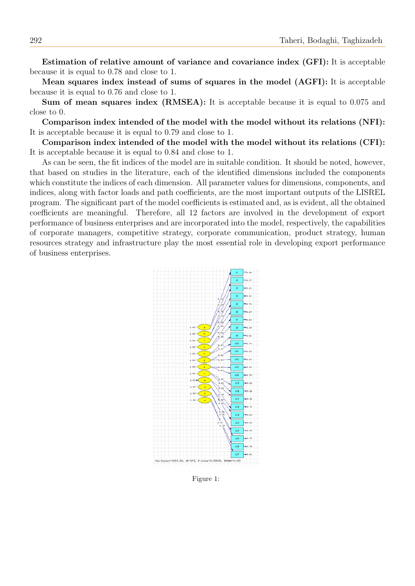Estimation of relative amount of variance and covariance index (GFI): It is acceptable because it is equal to 0.78 and close to 1.

Mean squares index instead of sums of squares in the model (AGFI): It is acceptable because it is equal to 0.76 and close to 1.

Sum of mean squares index (RMSEA): It is acceptable because it is equal to 0.075 and close to 0.

Comparison index intended of the model with the model without its relations (NFI): It is acceptable because it is equal to 0.79 and close to 1.

Comparison index intended of the model with the model without its relations (CFI): It is acceptable because it is equal to 0.84 and close to 1.

As can be seen, the fit indices of the model are in suitable condition. It should be noted, however, that based on studies in the literature, each of the identified dimensions included the components which constitute the indices of each dimension. All parameter values for dimensions, components, and indices, along with factor loads and path coefficients, are the most important outputs of the LISREL program. The significant part of the model coefficients is estimated and, as is evident, all the obtained coefficients are meaningful. Therefore, all 12 factors are involved in the development of export performance of business enterprises and are incorporated into the model, respectively, the capabilities of corporate managers, competitive strategy, corporate communication, product strategy, human resources strategy and infrastructure play the most essential role in developing export performance of business enterprises.



Figure 1: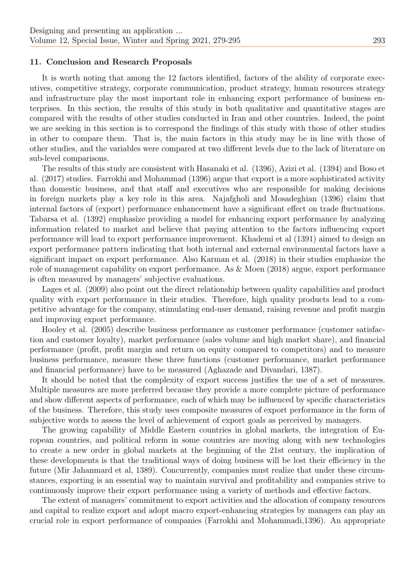#### 11. Conclusion and Research Proposals

It is worth noting that among the 12 factors identified, factors of the ability of corporate executives, competitive strategy, corporate communication, product strategy, human resources strategy and infrastructure play the most important role in enhancing export performance of business enterprises. In this section, the results of this study in both qualitative and quantitative stages are compared with the results of other studies conducted in Iran and other countries. Indeed, the point we are seeking in this section is to correspond the findings of this study with those of other studies in other to compare them. That is, the main factors in this study may be in line with those of other studies, and the variables were compared at two different levels due to the lack of literature on sub-level comparisons.

The results of this study are consistent with Hasanaki et al. (1396), Azizi et al. (1394) and Boso et al. (2017) studies. Farrokhi and Mohammad (1396) argue that export is a more sophisticated activity than domestic business, and that staff and executives who are responsible for making decisions in foreign markets play a key role in this area. Najafgholi and Mosadeghian (1396) claim that internal factors of (export) performance enhancement have a significant effect on trade fluctuations. Tabarsa et al. (1392) emphasize providing a model for enhancing export performance by analyzing information related to market and believe that paying attention to the factors influencing export performance will lead to export performance improvement. Khademi et al (1391) aimed to design an export performance pattern indicating that both internal and external environmental factors have a significant impact on export performance. Also Karman et al. (2018) in their studies emphasize the role of management capability on export performance. As & Moen (2018) argue, export performance is often measured by managers' subjective evaluations.

Lages et al. (2009) also point out the direct relationship between quality capabilities and product quality with export performance in their studies. Therefore, high quality products lead to a competitive advantage for the company, stimulating end-user demand, raising revenue and profit margin and improving export performance.

Hooley et al. (2005) describe business performance as customer performance (customer satisfaction and customer loyalty), market performance (sales volume and high market share), and financial performance (profit, profit margin and return on equity compared to competitors) and to measure business performance, measure these three functions (customer performance, market performance and financial performance) have to be measured (Aghazade and Divandari, 1387).

It should be noted that the complexity of export success justifies the use of a set of measures. Multiple measures are more preferred because they provide a more complete picture of performance and show different aspects of performance, each of which may be influenced by specific characteristics of the business. Therefore, this study uses composite measures of export performance in the form of subjective words to assess the level of achievement of export goals as perceived by managers.

The growing capability of Middle Eastern countries in global markets, the integration of European countries, and political reform in some countries are moving along with new technologies to create a new order in global markets at the beginning of the 21st century, the implication of these developments is that the traditional ways of doing business will be lost their efficiency in the future (Mir Jahanmard et al, 1389). Concurrently, companies must realize that under these circumstances, exporting is an essential way to maintain survival and profitability and companies strive to continuously improve their export performance using a variety of methods and effective factors.

The extent of managers' commitment to export activities and the allocation of company resources and capital to realize export and adopt macro export-enhancing strategies by managers can play an crucial role in export performance of companies (Farrokhi and Mohammadi,1396). An appropriate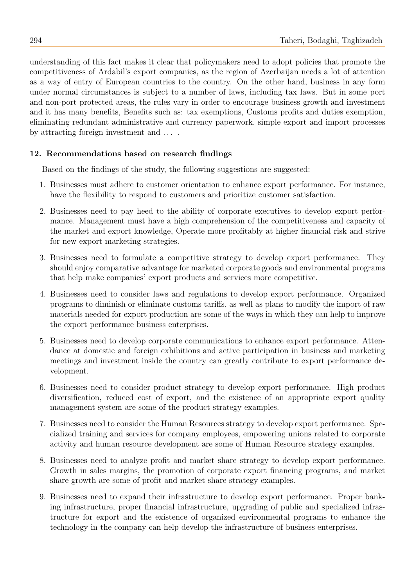understanding of this fact makes it clear that policymakers need to adopt policies that promote the competitiveness of Ardabil's export companies, as the region of Azerbaijan needs a lot of attention as a way of entry of European countries to the country. On the other hand, business in any form under normal circumstances is subject to a number of laws, including tax laws. But in some port and non-port protected areas, the rules vary in order to encourage business growth and investment and it has many benefits, Benefits such as: tax exemptions, Customs profits and duties exemption, eliminating redundant administrative and currency paperwork, simple export and import processes by attracting foreign investment and  $\dots$ .

# 12. Recommendations based on research findings

Based on the findings of the study, the following suggestions are suggested:

- 1. Businesses must adhere to customer orientation to enhance export performance. For instance, have the flexibility to respond to customers and prioritize customer satisfaction.
- 2. Businesses need to pay heed to the ability of corporate executives to develop export performance. Management must have a high comprehension of the competitiveness and capacity of the market and export knowledge, Operate more profitably at higher financial risk and strive for new export marketing strategies.
- 3. Businesses need to formulate a competitive strategy to develop export performance. They should enjoy comparative advantage for marketed corporate goods and environmental programs that help make companies' export products and services more competitive.
- 4. Businesses need to consider laws and regulations to develop export performance. Organized programs to diminish or eliminate customs tariffs, as well as plans to modify the import of raw materials needed for export production are some of the ways in which they can help to improve the export performance business enterprises.
- 5. Businesses need to develop corporate communications to enhance export performance. Attendance at domestic and foreign exhibitions and active participation in business and marketing meetings and investment inside the country can greatly contribute to export performance development.
- 6. Businesses need to consider product strategy to develop export performance. High product diversification, reduced cost of export, and the existence of an appropriate export quality management system are some of the product strategy examples.
- 7. Businesses need to consider the Human Resources strategy to develop export performance. Specialized training and services for company employees, empowering unions related to corporate activity and human resource development are some of Human Resource strategy examples.
- 8. Businesses need to analyze profit and market share strategy to develop export performance. Growth in sales margins, the promotion of corporate export financing programs, and market share growth are some of profit and market share strategy examples.
- 9. Businesses need to expand their infrastructure to develop export performance. Proper banking infrastructure, proper financial infrastructure, upgrading of public and specialized infrastructure for export and the existence of organized environmental programs to enhance the technology in the company can help develop the infrastructure of business enterprises.